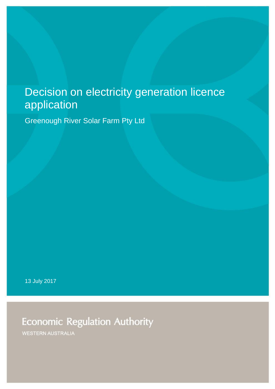# Decision on electricity generation licence application

Greenough River Solar Farm Pty Ltd

13 July 2017

**Economic Regulation Authority** 

**WESTERN AUSTRALIA**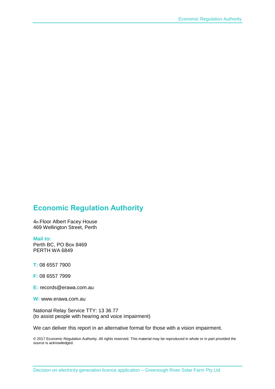### **Economic Regulation Authority**

4th Floor Albert Facey House 469 Wellington Street, Perth

#### **Mail to:**

Perth BC, PO Box 8469 PERTH WA 6849

**T:** 08 6557 7900

**F:** 08 6557 7999

**E:** records@erawa.com.au

**W:** www.erawa.com.au

National Relay Service TTY: 13 36 77 (to assist people with hearing and voice impairment)

We can deliver this report in an alternative format for those with a vision impairment.

© 2017 Economic Regulation Authority. All rights reserved. This material may be reproduced in whole or in part provided the source is acknowledged.